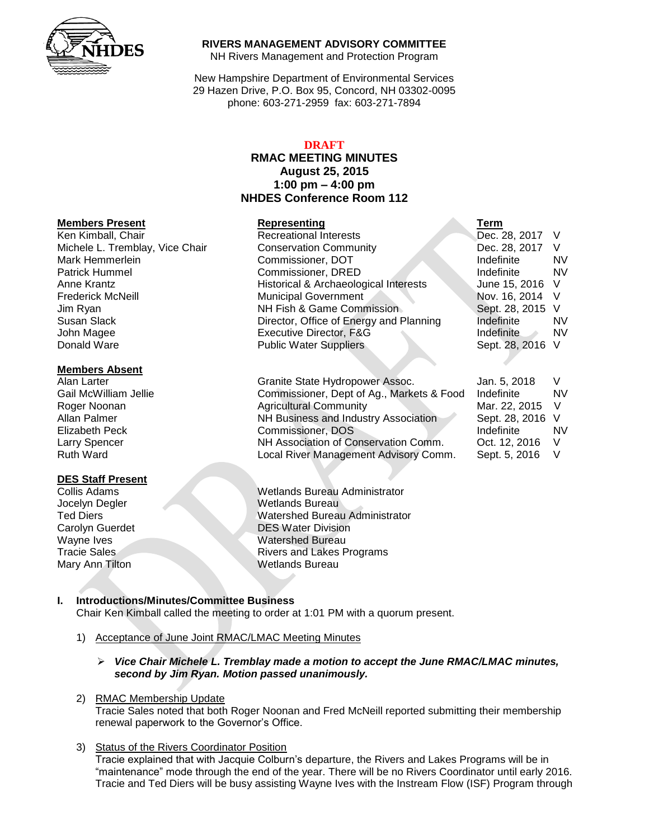

# **RIVERS MANAGEMENT ADVISORY COMMITTEE**

NH Rivers Management and Protection Program

New Hampshire Department of Environmental Services 29 Hazen Drive, P.O. Box 95, Concord, NH 03302-0095 phone: 603-271-2959 fax: 603-271-7894

# **DRAFT**

# **RMAC MEETING MINUTES August 25, 2015 1:00 pm – 4:00 pm NHDES Conference Room 112**

| Ken Kimball, Chair              | <b>Recreational Interests</b>             | Dec. 28, 2017 V  |           |
|---------------------------------|-------------------------------------------|------------------|-----------|
| Michele L. Tremblay, Vice Chair | <b>Conservation Community</b>             | Dec. 28, 2017    | V         |
| Mark Hemmerlein                 | Commissioner, DOT                         | Indefinite       | <b>NV</b> |
| Patrick Hummel                  | Commissioner, DRED                        | Indefinite       | <b>NV</b> |
| Anne Krantz                     | Historical & Archaeological Interests     | June 15, 2016 V  |           |
| Frederick McNeill               | <b>Municipal Government</b>               | Nov. 16, 2014 V  |           |
| Jim Ryan                        | NH Fish & Game Commission                 | Sept. 28, 2015 V |           |
| Susan Slack                     | Director, Office of Energy and Planning   | Indefinite       | <b>NV</b> |
| John Magee                      | Executive Director, F&G                   | Indefinite       | <b>NV</b> |
| Donald Ware                     | <b>Public Water Suppliers</b>             | Sept. 28, 2016 V |           |
|                                 |                                           |                  |           |
| <b>Members Absent</b>           |                                           |                  |           |
| Alan Larter                     | Granite State Hydropower Assoc.           | Jan. 5, 2018     | V         |
| Gail McWilliam Jellie           | Commissioner, Dept of Ag., Markets & Food | Indefinite       | <b>NV</b> |
| Roger Noonan                    | <b>Agricultural Community</b>             | Mar. 22, 2015    | V         |
|                                 |                                           |                  |           |

| Roger Noonan     | <b>Agricultural Community</b>         | Mar. 22, 2015 V  |     |
|------------------|---------------------------------------|------------------|-----|
| Allan Palmer     | NH Business and Industry Association  | Sept. 28, 2016 V |     |
| Elizabeth Peck   | Commissioner, DOS                     | Indefinite       | NV. |
| Larry Spencer    | NH Association of Conservation Comm.  | Oct. 12, 2016    |     |
| <b>Ruth Ward</b> | Local River Management Advisory Comm. | Sept. 5, 2016    |     |

**Collis Adams** Wetlands Bureau Administrator Ted Diers Watershed Bureau Administrator **Carolyn Guerdet DES Water Division** Wayne Ives Watershed Bureau Tracie Sales **Rivers and Lakes Programs** 

#### **I. Introductions/Minutes/Committee Business** Chair Ken Kimball called the meeting to order at 1:01 PM with a quorum present.

- 1) Acceptance of June Joint RMAC/LMAC Meeting Minutes
	- *Vice Chair Michele L. Tremblay made a motion to accept the June RMAC/LMAC minutes, second by Jim Ryan. Motion passed unanimously.*
- 2) RMAC Membership Update Tracie Sales noted that both Roger Noonan and Fred McNeill reported submitting their membership renewal paperwork to the Governor's Office.
- 3) Status of the Rivers Coordinator Position

Tracie explained that with Jacquie Colburn's departure, the Rivers and Lakes Programs will be in "maintenance" mode through the end of the year. There will be no Rivers Coordinator until early 2016. Tracie and Ted Diers will be busy assisting Wayne Ives with the Instream Flow (ISF) Program through

- **Members Present Representing Term**
- Ken Kimball, Chair Michele L. Tremblay, Vice Chair Mark Hemmerlein Patrick Hummel Frederick McNeill Susan Slack Donald Ware

# **Members Absent**

Gail McWilliam Jellie Roger Noonan

#### **DES Staff Present**

**Jocelyn Degler Wetlands Bureau** Mary Ann Tilton Wetlands Bureau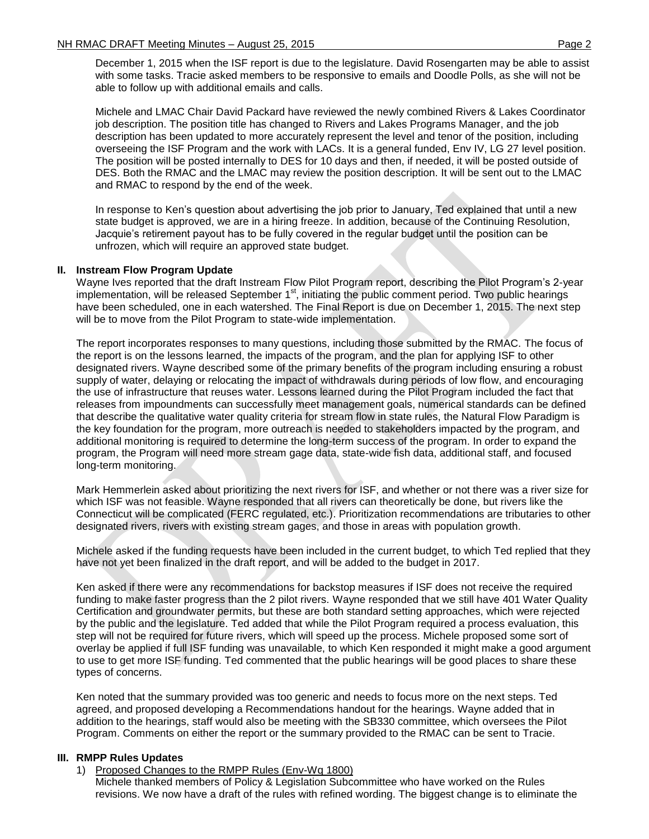December 1, 2015 when the ISF report is due to the legislature. David Rosengarten may be able to assist with some tasks. Tracie asked members to be responsive to emails and Doodle Polls, as she will not be able to follow up with additional emails and calls.

Michele and LMAC Chair David Packard have reviewed the newly combined Rivers & Lakes Coordinator job description. The position title has changed to Rivers and Lakes Programs Manager, and the job description has been updated to more accurately represent the level and tenor of the position, including overseeing the ISF Program and the work with LACs. It is a general funded, Env IV, LG 27 level position. The position will be posted internally to DES for 10 days and then, if needed, it will be posted outside of DES. Both the RMAC and the LMAC may review the position description. It will be sent out to the LMAC and RMAC to respond by the end of the week.

In response to Ken's question about advertising the job prior to January, Ted explained that until a new state budget is approved, we are in a hiring freeze. In addition, because of the Continuing Resolution, Jacquie's retirement payout has to be fully covered in the regular budget until the position can be unfrozen, which will require an approved state budget.

# **II. Instream Flow Program Update**

Wayne Ives reported that the draft Instream Flow Pilot Program report, describing the Pilot Program's 2-year implementation, will be released September 1<sup>st</sup>, initiating the public comment period. Two public hearings have been scheduled, one in each watershed. The Final Report is due on December 1, 2015. The next step will be to move from the Pilot Program to state-wide implementation.

The report incorporates responses to many questions, including those submitted by the RMAC. The focus of the report is on the lessons learned, the impacts of the program, and the plan for applying ISF to other designated rivers. Wayne described some of the primary benefits of the program including ensuring a robust supply of water, delaying or relocating the impact of withdrawals during periods of low flow, and encouraging the use of infrastructure that reuses water. Lessons learned during the Pilot Program included the fact that releases from impoundments can successfully meet management goals, numerical standards can be defined that describe the qualitative water quality criteria for stream flow in state rules, the Natural Flow Paradigm is the key foundation for the program, more outreach is needed to stakeholders impacted by the program, and additional monitoring is required to determine the long-term success of the program. In order to expand the program, the Program will need more stream gage data, state-wide fish data, additional staff, and focused long-term monitoring.

Mark Hemmerlein asked about prioritizing the next rivers for ISF, and whether or not there was a river size for which ISF was not feasible. Wayne responded that all rivers can theoretically be done, but rivers like the Connecticut will be complicated (FERC regulated, etc.). Prioritization recommendations are tributaries to other designated rivers, rivers with existing stream gages, and those in areas with population growth.

Michele asked if the funding requests have been included in the current budget, to which Ted replied that they have not yet been finalized in the draft report, and will be added to the budget in 2017.

Ken asked if there were any recommendations for backstop measures if ISF does not receive the required funding to make faster progress than the 2 pilot rivers. Wayne responded that we still have 401 Water Quality Certification and groundwater permits, but these are both standard setting approaches, which were rejected by the public and the legislature. Ted added that while the Pilot Program required a process evaluation, this step will not be required for future rivers, which will speed up the process. Michele proposed some sort of overlay be applied if full ISF funding was unavailable, to which Ken responded it might make a good argument to use to get more ISF funding. Ted commented that the public hearings will be good places to share these types of concerns.

Ken noted that the summary provided was too generic and needs to focus more on the next steps. Ted agreed, and proposed developing a Recommendations handout for the hearings. Wayne added that in addition to the hearings, staff would also be meeting with the SB330 committee, which oversees the Pilot Program. Comments on either the report or the summary provided to the RMAC can be sent to Tracie.

## **III. RMPP Rules Updates**

1) Proposed Changes to the RMPP Rules (Env-Wq 1800)

Michele thanked members of Policy & Legislation Subcommittee who have worked on the Rules revisions. We now have a draft of the rules with refined wording. The biggest change is to eliminate the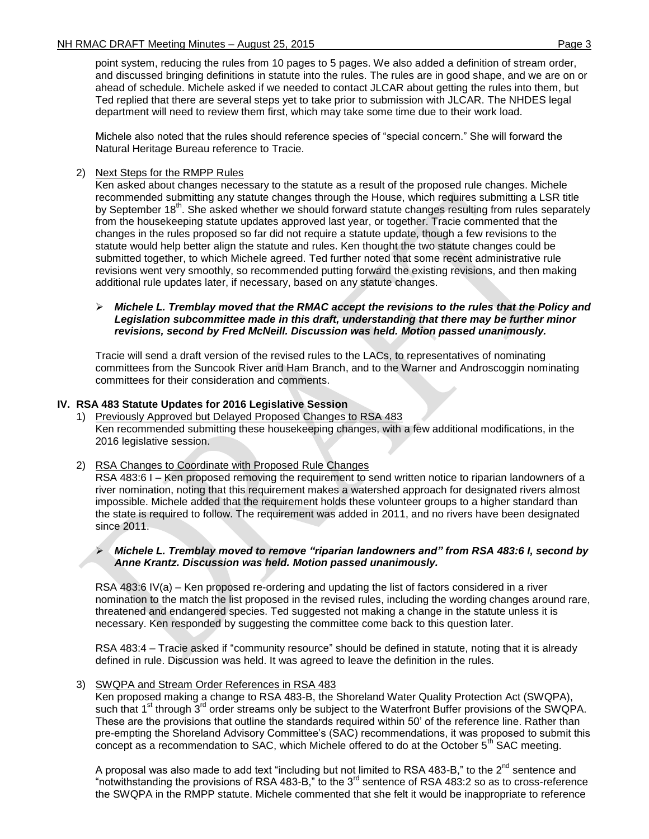point system, reducing the rules from 10 pages to 5 pages. We also added a definition of stream order, and discussed bringing definitions in statute into the rules. The rules are in good shape, and we are on or ahead of schedule. Michele asked if we needed to contact JLCAR about getting the rules into them, but Ted replied that there are several steps yet to take prior to submission with JLCAR. The NHDES legal department will need to review them first, which may take some time due to their work load.

Michele also noted that the rules should reference species of "special concern." She will forward the Natural Heritage Bureau reference to Tracie.

# 2) Next Steps for the RMPP Rules

Ken asked about changes necessary to the statute as a result of the proposed rule changes. Michele recommended submitting any statute changes through the House, which requires submitting a LSR title by September 18<sup>th</sup>. She asked whether we should forward statute changes resulting from rules separately from the housekeeping statute updates approved last year, or together. Tracie commented that the changes in the rules proposed so far did not require a statute update, though a few revisions to the statute would help better align the statute and rules. Ken thought the two statute changes could be submitted together, to which Michele agreed. Ted further noted that some recent administrative rule revisions went very smoothly, so recommended putting forward the existing revisions, and then making additional rule updates later, if necessary, based on any statute changes.

#### *Michele L. Tremblay moved that the RMAC accept the revisions to the rules that the Policy and Legislation subcommittee made in this draft, understanding that there may be further minor revisions, second by Fred McNeill. Discussion was held. Motion passed unanimously.*

Tracie will send a draft version of the revised rules to the LACs, to representatives of nominating committees from the Suncook River and Ham Branch, and to the Warner and Androscoggin nominating committees for their consideration and comments.

# **IV. RSA 483 Statute Updates for 2016 Legislative Session**

1) Previously Approved but Delayed Proposed Changes to RSA 483 Ken recommended submitting these housekeeping changes, with a few additional modifications, in the 2016 legislative session.

#### 2) RSA Changes to Coordinate with Proposed Rule Changes

RSA 483:6 I – Ken proposed removing the requirement to send written notice to riparian landowners of a river nomination, noting that this requirement makes a watershed approach for designated rivers almost impossible. Michele added that the requirement holds these volunteer groups to a higher standard than the state is required to follow. The requirement was added in 2011, and no rivers have been designated since 2011.

# *Michele L. Tremblay moved to remove "riparian landowners and" from RSA 483:6 I, second by Anne Krantz. Discussion was held. Motion passed unanimously.*

RSA 483:6 IV(a) – Ken proposed re-ordering and updating the list of factors considered in a river nomination to the match the list proposed in the revised rules, including the wording changes around rare, threatened and endangered species. Ted suggested not making a change in the statute unless it is necessary. Ken responded by suggesting the committee come back to this question later.

RSA 483:4 – Tracie asked if "community resource" should be defined in statute, noting that it is already defined in rule. Discussion was held. It was agreed to leave the definition in the rules.

#### 3) SWQPA and Stream Order References in RSA 483

Ken proposed making a change to RSA 483-B, the Shoreland Water Quality Protection Act (SWQPA), such that  $1^{\text{st}}$  through  $3^{\text{rd}}$  order streams only be subject to the Waterfront Buffer provisions of the SWQPA. These are the provisions that outline the standards required within 50' of the reference line. Rather than pre-empting the Shoreland Advisory Committee's (SAC) recommendations, it was proposed to submit this concept as a recommendation to SAC, which Michele offered to do at the October  $5<sup>th</sup>$  SAC meeting.

A proposal was also made to add text "including but not limited to RSA 483-B," to the 2<sup>nd</sup> sentence and "notwithstanding the provisions of RSA 483-B," to the 3rd sentence of RSA 483:2 so as to cross-reference the SWQPA in the RMPP statute. Michele commented that she felt it would be inappropriate to reference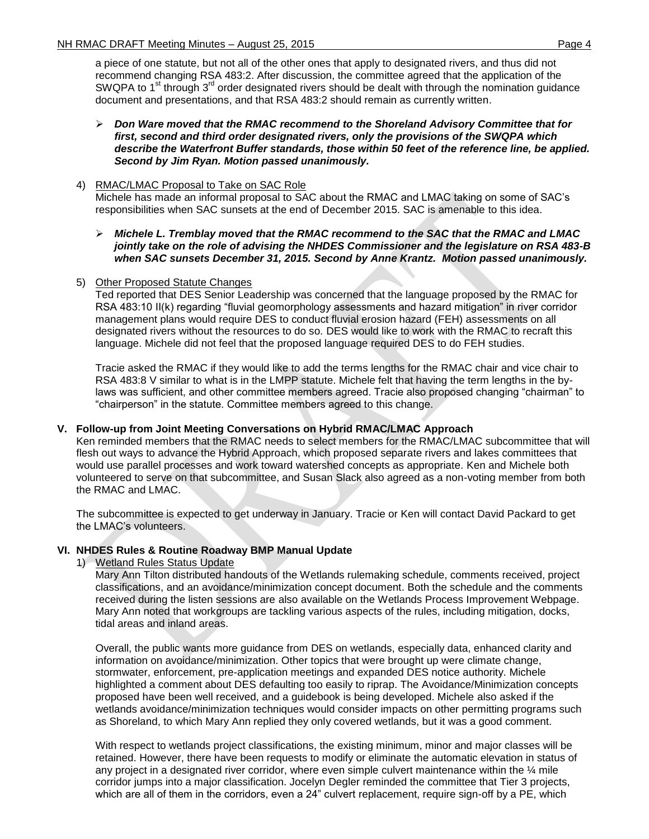a piece of one statute, but not all of the other ones that apply to designated rivers, and thus did not recommend changing RSA 483:2. After discussion, the committee agreed that the application of the SWQPA to 1<sup>st</sup> through 3<sup>rd</sup> order designated rivers should be dealt with through the nomination guidance document and presentations, and that RSA 483:2 should remain as currently written.

 *Don Ware moved that the RMAC recommend to the Shoreland Advisory Committee that for first, second and third order designated rivers, only the provisions of the SWQPA which describe the Waterfront Buffer standards, those within 50 feet of the reference line, be applied. Second by Jim Ryan. Motion passed unanimously.*

#### 4) RMAC/LMAC Proposal to Take on SAC Role

Michele has made an informal proposal to SAC about the RMAC and LMAC taking on some of SAC's responsibilities when SAC sunsets at the end of December 2015. SAC is amenable to this idea.

- *Michele L. Tremblay moved that the RMAC recommend to the SAC that the RMAC and LMAC jointly take on the role of advising the NHDES Commissioner and the legislature on RSA 483-B when SAC sunsets December 31, 2015. Second by Anne Krantz. Motion passed unanimously.*
- 5) Other Proposed Statute Changes

Ted reported that DES Senior Leadership was concerned that the language proposed by the RMAC for RSA 483:10 II(k) regarding "fluvial geomorphology assessments and hazard mitigation" in river corridor management plans would require DES to conduct fluvial erosion hazard (FEH) assessments on all designated rivers without the resources to do so. DES would like to work with the RMAC to recraft this language. Michele did not feel that the proposed language required DES to do FEH studies.

Tracie asked the RMAC if they would like to add the terms lengths for the RMAC chair and vice chair to RSA 483:8 V similar to what is in the LMPP statute. Michele felt that having the term lengths in the bylaws was sufficient, and other committee members agreed. Tracie also proposed changing "chairman" to "chairperson" in the statute. Committee members agreed to this change.

#### **V. Follow-up from Joint Meeting Conversations on Hybrid RMAC/LMAC Approach**

Ken reminded members that the RMAC needs to select members for the RMAC/LMAC subcommittee that will flesh out ways to advance the Hybrid Approach, which proposed separate rivers and lakes committees that would use parallel processes and work toward watershed concepts as appropriate. Ken and Michele both volunteered to serve on that subcommittee, and Susan Slack also agreed as a non-voting member from both the RMAC and LMAC.

The subcommittee is expected to get underway in January. Tracie or Ken will contact David Packard to get the LMAC's volunteers.

#### **VI. NHDES Rules & Routine Roadway BMP Manual Update**

1) Wetland Rules Status Update

Mary Ann Tilton distributed handouts of the Wetlands rulemaking schedule, comments received, project classifications, and an avoidance/minimization concept document. Both the schedule and the comments received during the listen sessions are also available on the Wetlands Process Improvement Webpage. Mary Ann noted that workgroups are tackling various aspects of the rules, including mitigation, docks, tidal areas and inland areas.

Overall, the public wants more guidance from DES on wetlands, especially data, enhanced clarity and information on avoidance/minimization. Other topics that were brought up were climate change, stormwater, enforcement, pre-application meetings and expanded DES notice authority. Michele highlighted a comment about DES defaulting too easily to riprap. The Avoidance/Minimization concepts proposed have been well received, and a guidebook is being developed. Michele also asked if the wetlands avoidance/minimization techniques would consider impacts on other permitting programs such as Shoreland, to which Mary Ann replied they only covered wetlands, but it was a good comment.

With respect to wetlands project classifications, the existing minimum, minor and major classes will be retained. However, there have been requests to modify or eliminate the automatic elevation in status of any project in a designated river corridor, where even simple culvert maintenance within the  $\frac{1}{4}$  mile corridor jumps into a major classification. Jocelyn Degler reminded the committee that Tier 3 projects, which are all of them in the corridors, even a 24" culvert replacement, require sign-off by a PE, which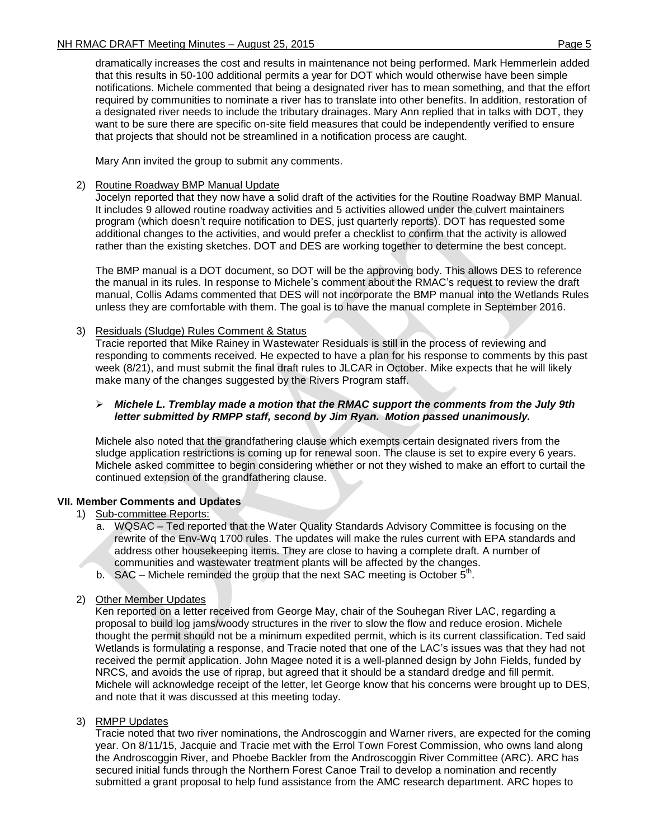dramatically increases the cost and results in maintenance not being performed. Mark Hemmerlein added that this results in 50-100 additional permits a year for DOT which would otherwise have been simple notifications. Michele commented that being a designated river has to mean something, and that the effort required by communities to nominate a river has to translate into other benefits. In addition, restoration of a designated river needs to include the tributary drainages. Mary Ann replied that in talks with DOT, they want to be sure there are specific on-site field measures that could be independently verified to ensure that projects that should not be streamlined in a notification process are caught.

Mary Ann invited the group to submit any comments.

## 2) Routine Roadway BMP Manual Update

Jocelyn reported that they now have a solid draft of the activities for the Routine Roadway BMP Manual. It includes 9 allowed routine roadway activities and 5 activities allowed under the culvert maintainers program (which doesn't require notification to DES, just quarterly reports). DOT has requested some additional changes to the activities, and would prefer a checklist to confirm that the activity is allowed rather than the existing sketches. DOT and DES are working together to determine the best concept.

The BMP manual is a DOT document, so DOT will be the approving body. This allows DES to reference the manual in its rules. In response to Michele's comment about the RMAC's request to review the draft manual, Collis Adams commented that DES will not incorporate the BMP manual into the Wetlands Rules unless they are comfortable with them. The goal is to have the manual complete in September 2016.

# 3) Residuals (Sludge) Rules Comment & Status

Tracie reported that Mike Rainey in Wastewater Residuals is still in the process of reviewing and responding to comments received. He expected to have a plan for his response to comments by this past week (8/21), and must submit the final draft rules to JLCAR in October. Mike expects that he will likely make many of the changes suggested by the Rivers Program staff.

# *Michele L. Tremblay made a motion that the RMAC support the comments from the July 9th letter submitted by RMPP staff, second by Jim Ryan. Motion passed unanimously.*

Michele also noted that the grandfathering clause which exempts certain designated rivers from the sludge application restrictions is coming up for renewal soon. The clause is set to expire every 6 years. Michele asked committee to begin considering whether or not they wished to make an effort to curtail the continued extension of the grandfathering clause.

# **VII. Member Comments and Updates**

# 1) Sub-committee Reports:

- a. WQSAC Ted reported that the Water Quality Standards Advisory Committee is focusing on the rewrite of the Env-Wq 1700 rules. The updates will make the rules current with EPA standards and address other housekeeping items. They are close to having a complete draft. A number of communities and wastewater treatment plants will be affected by the changes.
- b. SAC Michele reminded the group that the next SAC meeting is October  $\bar{5}^{th}$ .

# 2) Other Member Updates

Ken reported on a letter received from George May, chair of the Souhegan River LAC, regarding a proposal to build log jams/woody structures in the river to slow the flow and reduce erosion. Michele thought the permit should not be a minimum expedited permit, which is its current classification. Ted said Wetlands is formulating a response, and Tracie noted that one of the LAC's issues was that they had not received the permit application. John Magee noted it is a well-planned design by John Fields, funded by NRCS, and avoids the use of riprap, but agreed that it should be a standard dredge and fill permit. Michele will acknowledge receipt of the letter, let George know that his concerns were brought up to DES, and note that it was discussed at this meeting today.

## 3) RMPP Updates

Tracie noted that two river nominations, the Androscoggin and Warner rivers, are expected for the coming year. On 8/11/15, Jacquie and Tracie met with the Errol Town Forest Commission, who owns land along the Androscoggin River, and Phoebe Backler from the Androscoggin River Committee (ARC). ARC has secured initial funds through the Northern Forest Canoe Trail to develop a nomination and recently submitted a grant proposal to help fund assistance from the AMC research department. ARC hopes to